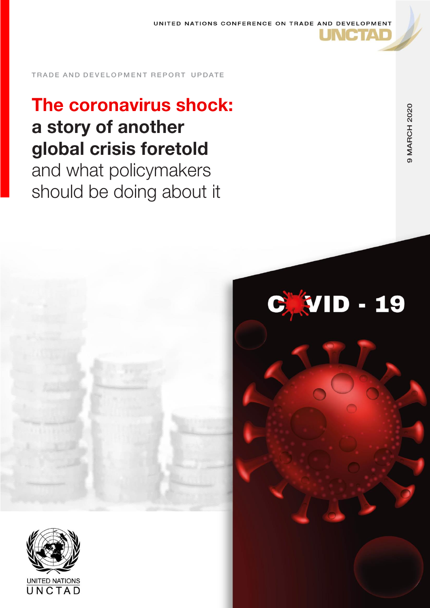

# The coronavirus shock: a story of another global crisis foretold and what policymakers should be doing about it



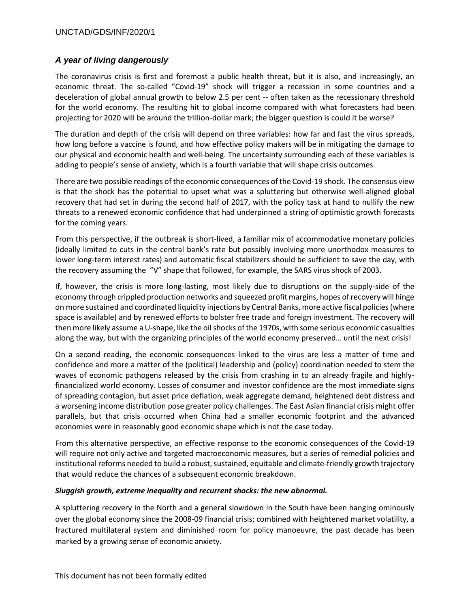## *A year of living dangerously*

The coronavirus crisis is first and foremost a public health threat, but it is also, and increasingly, an economic threat. The so-called "Covid-19" shock will trigger a recession in some countries and a deceleration of global annual growth to below 2.5 per cent -- often taken as the recessionary threshold for the world economy. The resulting hit to global income compared with what forecasters had been projecting for 2020 will be around the trillion-dollar mark; the bigger question is could it be worse?

The duration and depth of the crisis will depend on three variables: how far and fast the virus spreads, how long before a vaccine is found, and how effective policy makers will be in mitigating the damage to our physical and economic health and well-being. The uncertainty surrounding each of these variables is adding to people's sense of anxiety, which is a fourth variable that will shape crisis outcomes.

There are two possible readings of the economic consequences of the Covid-19 shock. The consensus view is that the shock has the potential to upset what was a spluttering but otherwise well-aligned global recovery that had set in during the second half of 2017, with the policy task at hand to nullify the new threats to a renewed economic confidence that had underpinned a string of optimistic growth forecasts for the coming years.

From this perspective, if the outbreak is short-lived, a familiar mix of accommodative monetary policies (ideally limited to cuts in the central bank's rate but possibly involving more unorthodox measures to lower long-term interest rates) and automatic fiscal stabilizers should be sufficient to save the day, with the recovery assuming the "V" shape that followed, for example, the SARS virus shock of 2003.

If, however, the crisis is more long-lasting, most likely due to disruptions on the supply-side of the economy through crippled production networks and squeezed profit margins, hopes of recovery will hinge on more sustained and coordinated liquidity injections by Central Banks, more active fiscal policies (where space is available) and by renewed efforts to bolster free trade and foreign investment. The recovery will then more likely assume a U-shape, like the oil shocks of the 1970s, with some serious economic casualties along the way, but with the organizing principles of the world economy preserved… until the next crisis!

On a second reading, the economic consequences linked to the virus are less a matter of time and confidence and more a matter of the (political) leadership and (policy) coordination needed to stem the waves of economic pathogens released by the crisis from crashing in to an already fragile and highlyfinancialized world economy. Losses of consumer and investor confidence are the most immediate signs of spreading contagion, but asset price deflation, weak aggregate demand, heightened debt distress and a worsening income distribution pose greater policy challenges. The East Asian financial crisis might offer parallels, but that crisis occurred when China had a smaller economic footprint and the advanced economies were in reasonably good economic shape which is not the case today.

From this alternative perspective, an effective response to the economic consequences of the Covid-19 will require not only active and targeted macroeconomic measures, but a series of remedial policies and institutional reforms needed to build a robust, sustained, equitable and climate-friendly growth trajectory that would reduce the chances of a subsequent economic breakdown.

## *Sluggish growth, extreme inequality and recurrent shocks: the new abnormal.*

A spluttering recovery in the North and a general slowdown in the South have been hanging ominously over the global economy since the 2008-09 financial crisis; combined with heightened market volatility, a fractured multilateral system and diminished room for policy manoeuvre, the past decade has been marked by a growing sense of economic anxiety.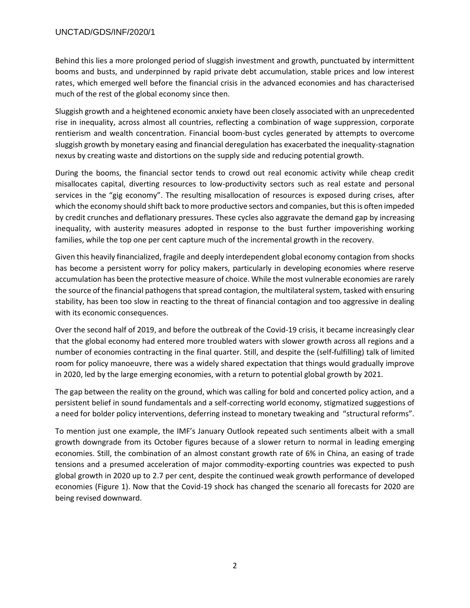Behind this lies a more prolonged period of sluggish investment and growth, punctuated by intermittent booms and busts, and underpinned by rapid private debt accumulation, stable prices and low interest rates, which emerged well before the financial crisis in the advanced economies and has characterised much of the rest of the global economy since then.

Sluggish growth and a heightened economic anxiety have been closely associated with an unprecedented rise in inequality, across almost all countries, reflecting a combination of wage suppression, corporate rentierism and wealth concentration. Financial boom-bust cycles generated by attempts to overcome sluggish growth by monetary easing and financial deregulation has exacerbated the inequality-stagnation nexus by creating waste and distortions on the supply side and reducing potential growth.

During the booms, the financial sector tends to crowd out real economic activity while cheap credit misallocates capital, diverting resources to low-productivity sectors such as real estate and personal services in the "gig economy". The resulting misallocation of resources is exposed during crises, after which the economy should shift back to more productive sectors and companies, but this is often impeded by credit crunches and deflationary pressures. These cycles also aggravate the demand gap by increasing inequality, with austerity measures adopted in response to the bust further impoverishing working families, while the top one per cent capture much of the incremental growth in the recovery.

Given this heavily financialized, fragile and deeply interdependent global economy contagion from shocks has become a persistent worry for policy makers, particularly in developing economies where reserve accumulation has been the protective measure of choice. While the most vulnerable economies are rarely the source of the financial pathogens that spread contagion, the multilateral system, tasked with ensuring stability, has been too slow in reacting to the threat of financial contagion and too aggressive in dealing with its economic consequences.

Over the second half of 2019, and before the outbreak of the Covid-19 crisis, it became increasingly clear that the global economy had entered more troubled waters with slower growth across all regions and a number of economies contracting in the final quarter. Still, and despite the (self-fulfilling) talk of limited room for policy manoeuvre, there was a widely shared expectation that things would gradually improve in 2020, led by the large emerging economies, with a return to potential global growth by 2021.

The gap between the reality on the ground, which was calling for bold and concerted policy action, and a persistent belief in sound fundamentals and a self-correcting world economy, stigmatized suggestions of a need for bolder policy interventions, deferring instead to monetary tweaking and "structural reforms".

To mention just one example, the IMF's January Outlook repeated such sentiments albeit with a small growth downgrade from its October figures because of a slower return to normal in leading emerging economies. Still, the combination of an almost constant growth rate of 6% in China, an easing of trade tensions and a presumed acceleration of major commodity-exporting countries was expected to push global growth in 2020 up to 2.7 per cent, despite the continued weak growth performance of developed economies (Figure 1). Now that the Covid-19 shock has changed the scenario all forecasts for 2020 are being revised downward.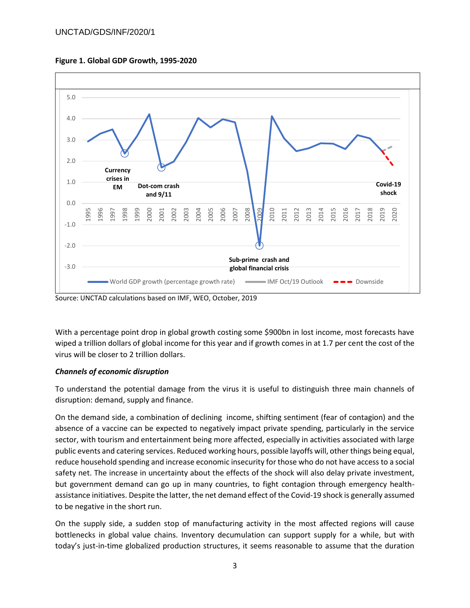



Source: UNCTAD calculations based on IMF, WEO, October, 2019

With a percentage point drop in global growth costing some \$900bn in lost income, most forecasts have wiped a trillion dollars of global income for this year and if growth comes in at 1.7 per cent the cost of the virus will be closer to 2 trillion dollars.

## *Channels of economic disruption*

To understand the potential damage from the virus it is useful to distinguish three main channels of disruption: demand, supply and finance.

On the demand side, a combination of declining income, shifting sentiment (fear of contagion) and the absence of a vaccine can be expected to negatively impact private spending, particularly in the service sector, with tourism and entertainment being more affected, especially in activities associated with large public events and catering services. Reduced working hours, possible layoffs will, other things being equal, reduce household spending and increase economic insecurity for those who do not have access to a social safety net. The increase in uncertainty about the effects of the shock will also delay private investment, but government demand can go up in many countries, to fight contagion through emergency healthassistance initiatives. Despite the latter, the net demand effect of the Covid-19 shock is generally assumed to be negative in the short run.

On the supply side, a sudden stop of manufacturing activity in the most affected regions will cause bottlenecks in global value chains. Inventory decumulation can support supply for a while, but with today's just-in-time globalized production structures, it seems reasonable to assume that the duration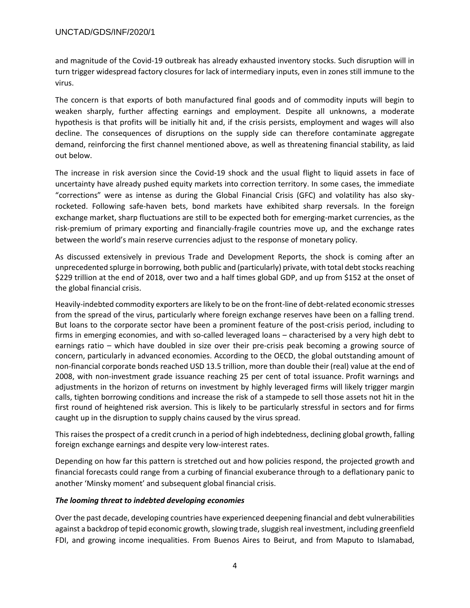and magnitude of the Covid-19 outbreak has already exhausted inventory stocks. Such disruption will in turn trigger widespread factory closures for lack of intermediary inputs, even in zones still immune to the virus.

The concern is that exports of both manufactured final goods and of commodity inputs will begin to weaken sharply, further affecting earnings and employment. Despite all unknowns, a moderate hypothesis is that profits will be initially hit and, if the crisis persists, employment and wages will also decline. The consequences of disruptions on the supply side can therefore contaminate aggregate demand, reinforcing the first channel mentioned above, as well as threatening financial stability, as laid out below.

The increase in risk aversion since the Covid-19 shock and the usual flight to liquid assets in face of uncertainty have already pushed equity markets into correction territory. In some cases, the immediate "corrections" were as intense as during the Global Financial Crisis (GFC) and volatility has also skyrocketed. Following safe-haven bets, bond markets have exhibited sharp reversals. In the foreign exchange market, sharp fluctuations are still to be expected both for emerging-market currencies, as the risk-premium of primary exporting and financially-fragile countries move up, and the exchange rates between the world's main reserve currencies adjust to the response of monetary policy.

As discussed extensively in previous Trade and Development Reports, the shock is coming after an unprecedented splurge in borrowing, both public and (particularly) private, with total debt stocks reaching \$229 trillion at the end of 2018, over two and a half times global GDP, and up from \$152 at the onset of the global financial crisis.

Heavily-indebted commodity exporters are likely to be on the front-line of debt-related economic stresses from the spread of the virus, particularly where foreign exchange reserves have been on a falling trend. But loans to the corporate sector have been a prominent feature of the post-crisis period, including to firms in emerging economies, and with so-called leveraged loans – characterised by a very high debt to earnings ratio – which have doubled in size over their pre-crisis peak becoming a growing source of concern, particularly in advanced economies. According to the OECD, the global outstanding amount of non-financial corporate bonds reached USD 13.5 trillion, more than double their (real) value at the end of 2008, with non-investment grade issuance reaching 25 per cent of total issuance. Profit warnings and adjustments in the horizon of returns on investment by highly leveraged firms will likely trigger margin calls, tighten borrowing conditions and increase the risk of a stampede to sell those assets not hit in the first round of heightened risk aversion. This is likely to be particularly stressful in sectors and for firms caught up in the disruption to supply chains caused by the virus spread.

This raises the prospect of a credit crunch in a period of high indebtedness, declining global growth, falling foreign exchange earnings and despite very low-interest rates.

Depending on how far this pattern is stretched out and how policies respond, the projected growth and financial forecasts could range from a curbing of financial exuberance through to a deflationary panic to another 'Minsky moment' and subsequent global financial crisis.

#### *The looming threat to indebted developing economies*

Over the past decade, developing countries have experienced deepening financial and debt vulnerabilities against a backdrop of tepid economic growth, slowing trade, sluggish real investment, including greenfield FDI, and growing income inequalities. From Buenos Aires to Beirut, and from Maputo to Islamabad,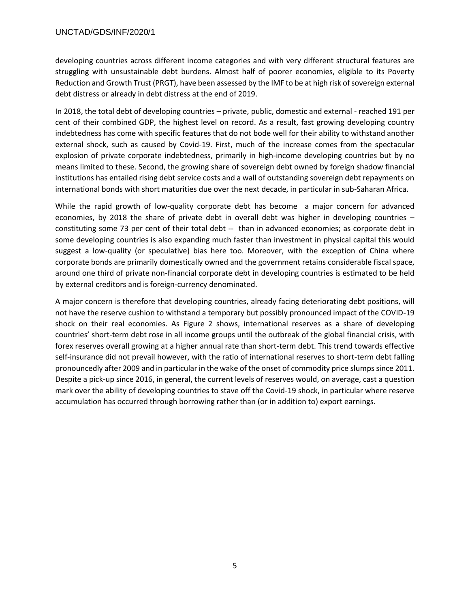developing countries across different income categories and with very different structural features are struggling with unsustainable debt burdens. Almost half of poorer economies, eligible to its Poverty Reduction and Growth Trust (PRGT), have been assessed by the IMF to be at high risk of sovereign external debt distress or already in debt distress at the end of 2019.

In 2018, the total debt of developing countries – private, public, domestic and external - reached 191 per cent of their combined GDP, the highest level on record. As a result, fast growing developing country indebtedness has come with specific features that do not bode well for their ability to withstand another external shock, such as caused by Covid-19. First, much of the increase comes from the spectacular explosion of private corporate indebtedness, primarily in high-income developing countries but by no means limited to these. Second, the growing share of sovereign debt owned by foreign shadow financial institutions has entailed rising debt service costs and a wall of outstanding sovereign debt repayments on international bonds with short maturities due over the next decade, in particular in sub-Saharan Africa.

While the rapid growth of low-quality corporate debt has become a major concern for advanced economies, by 2018 the share of private debt in overall debt was higher in developing countries – constituting some 73 per cent of their total debt -- than in advanced economies; as corporate debt in some developing countries is also expanding much faster than investment in physical capital this would suggest a low-quality (or speculative) bias here too. Moreover, with the exception of China where corporate bonds are primarily domestically owned and the government retains considerable fiscal space, around one third of private non-financial corporate debt in developing countries is estimated to be held by external creditors and is foreign-currency denominated.

A major concern is therefore that developing countries, already facing deteriorating debt positions, will not have the reserve cushion to withstand a temporary but possibly pronounced impact of the COVID-19 shock on their real economies. As Figure 2 shows, international reserves as a share of developing countries' short-term debt rose in all income groups until the outbreak of the global financial crisis, with forex reserves overall growing at a higher annual rate than short-term debt. This trend towards effective self-insurance did not prevail however, with the ratio of international reserves to short-term debt falling pronouncedly after 2009 and in particular in the wake of the onset of commodity price slumps since 2011. Despite a pick-up since 2016, in general, the current levels of reserves would, on average, cast a question mark over the ability of developing countries to stave off the Covid-19 shock, in particular where reserve accumulation has occurred through borrowing rather than (or in addition to) export earnings.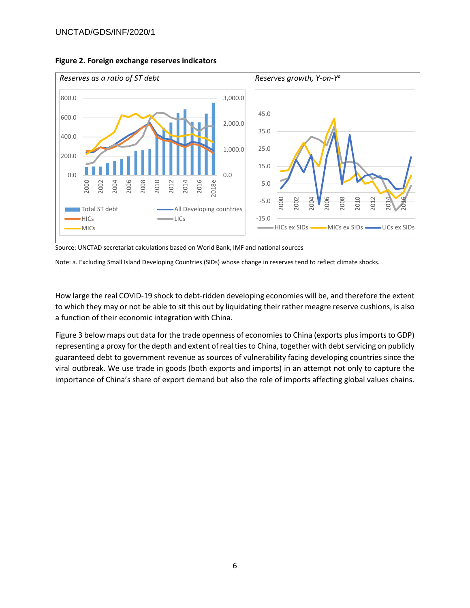

**Figure 2. Foreign exchange reserves indicators**

Source: UNCTAD secretariat calculations based on World Bank, IMF and national sources

Note: a. Excluding Small Island Developing Countries (SIDs) whose change in reserves tend to reflect climate shocks.

How large the real COVID-19 shock to debt-ridden developing economies will be, and therefore the extent to which they may or not be able to sit this out by liquidating their rather meagre reserve cushions, is also a function of their economic integration with China.

Figure 3 below maps out data for the trade openness of economies to China (exports plus imports to GDP) representing a proxy for the depth and extent of real ties to China, together with debt servicing on publicly guaranteed debt to government revenue as sources of vulnerability facing developing countries since the viral outbreak. We use trade in goods (both exports and imports) in an attempt not only to capture the importance of China's share of export demand but also the role of imports affecting global values chains.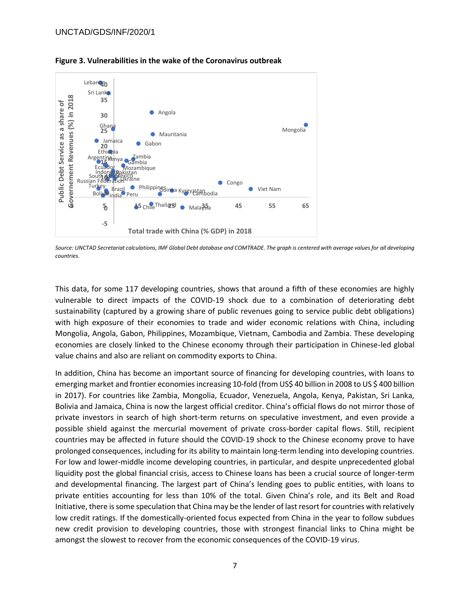

**Figure 3. Vulnerabilities in the wake of the Coronavirus outbreak**

This data, for some 117 developing countries, shows that around a fifth of these economies are highly vulnerable to direct impacts of the COVID-19 shock due to a combination of deteriorating debt sustainability (captured by a growing share of public revenues going to service public debt obligations) with high exposure of their economies to trade and wider economic relations with China, including Mongolia, Angola, Gabon, Philippines, Mozambique, Vietnam, Cambodia and Zambia. These developing economies are closely linked to the Chinese economy through their participation in Chinese-led global value chains and also are reliant on commodity exports to China.

In addition, China has become an important source of financing for developing countries, with loans to emerging market and frontier economies increasing 10-fold (from US\$ 40 billion in 2008 to US \$ 400 billion in 2017). For countries like Zambia, Mongolia, Ecuador, Venezuela, Angola, Kenya, Pakistan, Sri Lanka, Bolivia and Jamaica, China is now the largest official creditor. China's official flows do not mirror those of private investors in search of high short-term returns on speculative investment, and even provide a possible shield against the mercurial movement of private cross-border capital flows. Still, recipient countries may be affected in future should the COVID-19 shock to the Chinese economy prove to have prolonged consequences, including for its ability to maintain long-term lending into developing countries. For low and lower-middle income developing countries, in particular, and despite unprecedented global liquidity post the global financial crisis, access to Chinese loans has been a crucial source of longer-term and developmental financing. The largest part of China's lending goes to public entities, with loans to private entities accounting for less than 10% of the total. Given China's role, and its Belt and Road Initiative, there is some speculation that China may be the lender of last resort for countries with relatively low credit ratings. If the domestically-oriented focus expected from China in the year to follow subdues new credit provision to developing countries, those with strongest financial links to China might be amongst the slowest to recover from the economic consequences of the COVID-19 virus.

*Source: UNCTAD Secretariat calculations, IMF Global Debt database and COMTRADE. The graph is centered with average values for all developing countries.*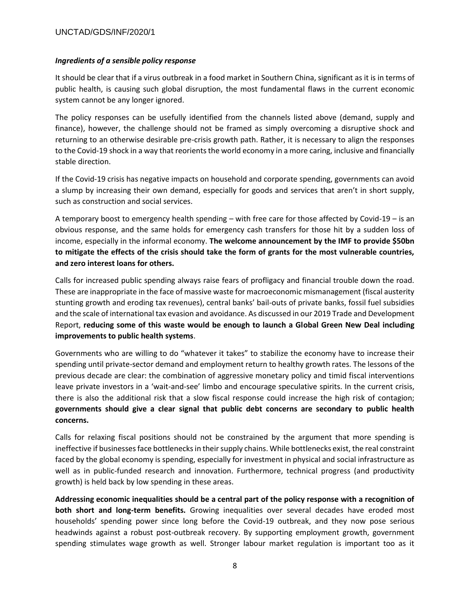#### *Ingredients of a sensible policy response*

It should be clear that if a virus outbreak in a food market in Southern China, significant as it is in terms of public health, is causing such global disruption, the most fundamental flaws in the current economic system cannot be any longer ignored.

The policy responses can be usefully identified from the channels listed above (demand, supply and finance), however, the challenge should not be framed as simply overcoming a disruptive shock and returning to an otherwise desirable pre-crisis growth path. Rather, it is necessary to align the responses to the Covid-19 shock in a way that reorients the world economy in a more caring, inclusive and financially stable direction.

If the Covid-19 crisis has negative impacts on household and corporate spending, governments can avoid a slump by increasing their own demand, especially for goods and services that aren't in short supply, such as construction and social services.

A temporary boost to emergency health spending – with free care for those affected by Covid-19 – is an obvious response, and the same holds for emergency cash transfers for those hit by a sudden loss of income, especially in the informal economy. **The welcome announcement by the IMF to provide \$50bn to mitigate the effects of the crisis should take the form of grants for the most vulnerable countries, and zero interest loans for others.**

Calls for increased public spending always raise fears of profligacy and financial trouble down the road. These are inappropriate in the face of massive waste for macroeconomic mismanagement (fiscal austerity stunting growth and eroding tax revenues), central banks' bail-outs of private banks, fossil fuel subsidies and the scale of international tax evasion and avoidance. As discussed in our 2019 Trade and Development Report, **reducing some of this waste would be enough to launch a Global Green New Deal including improvements to public health systems**.

Governments who are willing to do "whatever it takes" to stabilize the economy have to increase their spending until private-sector demand and employment return to healthy growth rates. The lessons of the previous decade are clear: the combination of aggressive monetary policy and timid fiscal interventions leave private investors in a 'wait-and-see' limbo and encourage speculative spirits. In the current crisis, there is also the additional risk that a slow fiscal response could increase the high risk of contagion; **governments should give a clear signal that public debt concerns are secondary to public health concerns.**

Calls for relaxing fiscal positions should not be constrained by the argument that more spending is ineffective if businesses face bottlenecks in their supply chains. While bottlenecks exist, the real constraint faced by the global economy is spending, especially for investment in physical and social infrastructure as well as in public-funded research and innovation. Furthermore, technical progress (and productivity growth) is held back by low spending in these areas.

**Addressing economic inequalities should be a central part of the policy response with a recognition of both short and long-term benefits.** Growing inequalities over several decades have eroded most households' spending power since long before the Covid-19 outbreak, and they now pose serious headwinds against a robust post-outbreak recovery. By supporting employment growth, government spending stimulates wage growth as well. Stronger labour market regulation is important too as it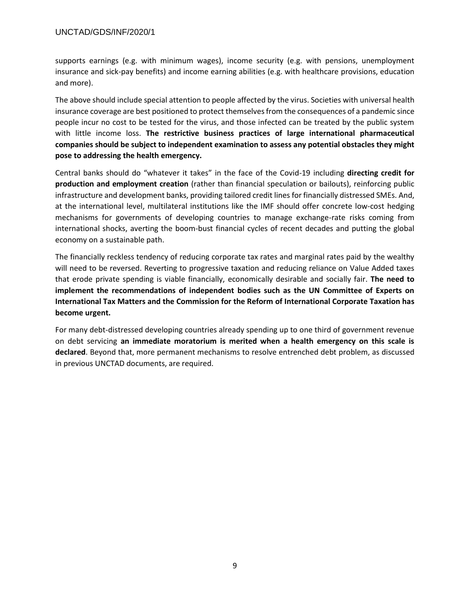supports earnings (e.g. with minimum wages), income security (e.g. with pensions, unemployment insurance and sick-pay benefits) and income earning abilities (e.g. with healthcare provisions, education and more).

The above should include special attention to people affected by the virus. Societies with universal health insurance coverage are best positioned to protect themselves from the consequences of a pandemic since people incur no cost to be tested for the virus, and those infected can be treated by the public system with little income loss. **The restrictive business practices of large international pharmaceutical companies should be subject to independent examination to assess any potential obstacles they might pose to addressing the health emergency.**

Central banks should do "whatever it takes" in the face of the Covid-19 including **directing credit for production and employment creation** (rather than financial speculation or bailouts), reinforcing public infrastructure and development banks, providing tailored credit lines for financially distressed SMEs. And, at the international level, multilateral institutions like the IMF should offer concrete low-cost hedging mechanisms for governments of developing countries to manage exchange-rate risks coming from international shocks, averting the boom-bust financial cycles of recent decades and putting the global economy on a sustainable path.

The financially reckless tendency of reducing corporate tax rates and marginal rates paid by the wealthy will need to be reversed. Reverting to progressive taxation and reducing reliance on Value Added taxes that erode private spending is viable financially, economically desirable and socially fair. **The need to implement the recommendations of independent bodies such as the UN Committee of Experts on International Tax Matters and the Commission for the Reform of International Corporate Taxation has become urgent.**

For many debt-distressed developing countries already spending up to one third of government revenue on debt servicing **an immediate moratorium is merited when a health emergency on this scale is declared**. Beyond that, more permanent mechanisms to resolve entrenched debt problem, as discussed in previous UNCTAD documents, are required.